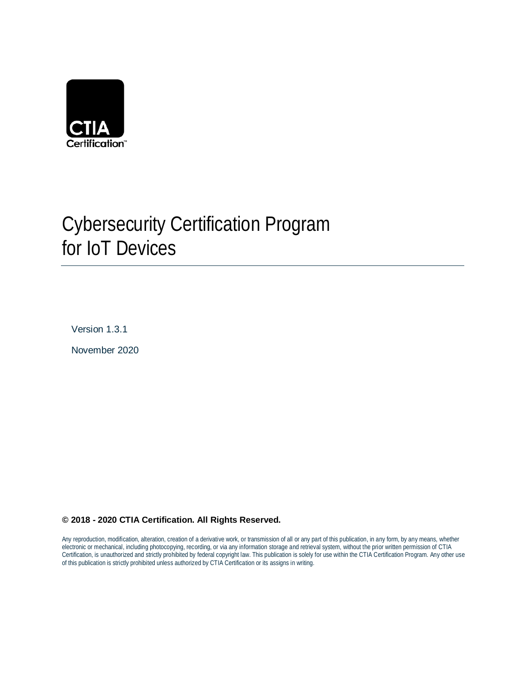

# Cybersecurity Certification Program for IoT Devices

Version 1.3.1

November 2020

## **© 2018 - 2020 CTIA Certification. All Rights Reserved.**

Any reproduction, modification, alteration, creation of a derivative work, or transmission of all or any part of this publication, in any form, by any means, whether electronic or mechanical, including photocopying, recording, or via any information storage and retrieval system, without the prior written permission of CTIA Certification, is unauthorized and strictly prohibited by federal copyright law. This publication is solely for use within the CTIA Certification Program. Any other use of this publication is strictly prohibited unless authorized by CTIA Certification or its assigns in writing.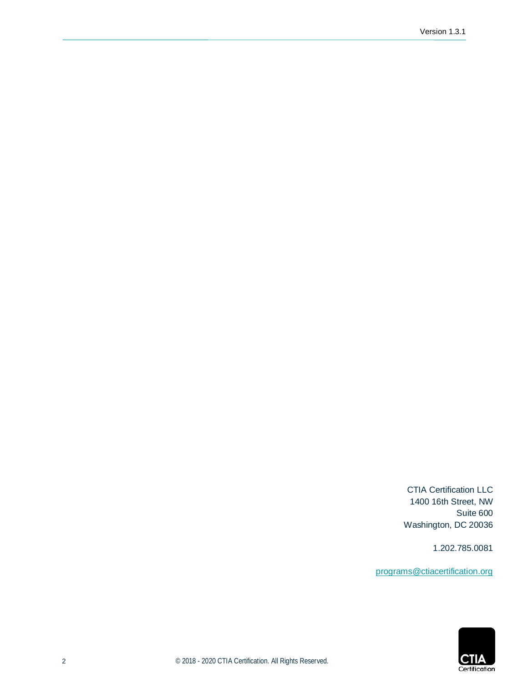CTIA Certification LLC 1400 16th Street, NW Suite 600 Washington, DC 20036

1.202.785.0081

[programs@ctiacertification.org](mailto:programs@ctiacertification.org)

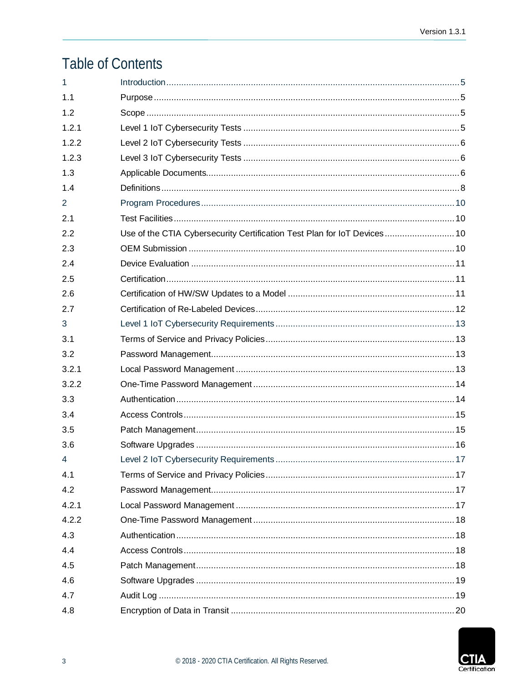# **Table of Contents**

| 1     |                                                                          |      |
|-------|--------------------------------------------------------------------------|------|
| 1.1   |                                                                          |      |
| 1.2   |                                                                          |      |
| 1.2.1 |                                                                          |      |
| 1.2.2 |                                                                          |      |
| 1.2.3 |                                                                          |      |
| 1.3   |                                                                          |      |
| 1.4   |                                                                          |      |
| 2     |                                                                          |      |
| 2.1   |                                                                          |      |
| 2.2   | Use of the CTIA Cybersecurity Certification Test Plan for IoT Devices 10 |      |
| 2.3   |                                                                          |      |
| 2.4   |                                                                          |      |
| 2.5   |                                                                          |      |
| 2.6   |                                                                          |      |
| 2.7   |                                                                          |      |
| 3     |                                                                          |      |
| 3.1   |                                                                          |      |
| 3.2   |                                                                          |      |
| 3.2.1 |                                                                          |      |
| 3.2.2 |                                                                          |      |
| 3.3   |                                                                          |      |
| 3.4   |                                                                          |      |
| 3.5   |                                                                          |      |
| 3.6   |                                                                          |      |
| 4     |                                                                          | . 17 |
| 4.1   |                                                                          |      |
| 4.2   |                                                                          |      |
| 4.2.1 |                                                                          |      |
| 4.2.2 |                                                                          |      |
| 4.3   |                                                                          |      |
| 4.4   |                                                                          |      |
| 4.5   |                                                                          |      |
| 4.6   |                                                                          |      |
| 4.7   |                                                                          |      |
| 4.8   |                                                                          |      |

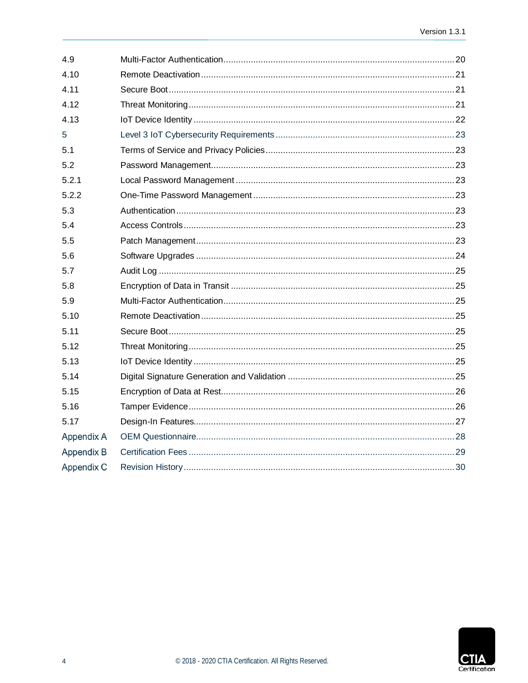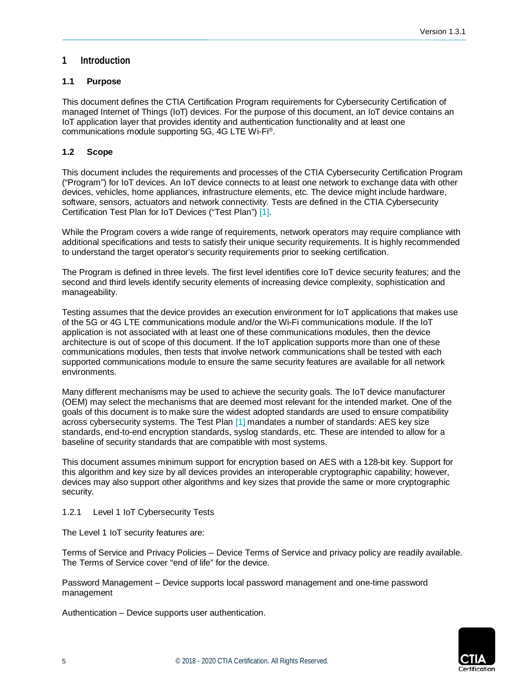## <span id="page-4-0"></span>**1 Introduction**

## <span id="page-4-1"></span>**1.1 Purpose**

This document defines the CTIA Certification Program requirements for Cybersecurity Certification of managed Internet of Things (IoT) devices. For the purpose of this document, an IoT device contains an IoT application layer that provides identity and authentication functionality and at least one communications module supporting 5G, 4G LTE Wi-Fi®.

## <span id="page-4-2"></span>**1.2 Scope**

This document includes the requirements and processes of the CTIA Cybersecurity Certification Program ("Program") for IoT devices. An IoT device connects to at least one network to exchange data with other devices, vehicles, home appliances, infrastructure elements, etc. The device might include hardware, software, sensors, actuators and network connectivity. Tests are defined in the CTIA Cybersecurity Certification Test Plan for IoT Devices ("Test Plan") [\[1\].](#page-5-3)

While the Program covers a wide range of requirements, network operators may require compliance with additional specifications and tests to satisfy their unique security requirements. It is highly recommended to understand the target operator's security requirements prior to seeking certification.

The Program is defined in three levels. The first level identifies core IoT device security features; and the second and third levels identify security elements of increasing device complexity, sophistication and manageability.

Testing assumes that the device provides an execution environment for IoT applications that makes use of the 5G or 4G LTE communications module and/or the Wi-Fi communications module. If the IoT application is not associated with at least one of these communications modules, then the device architecture is out of scope of this document. If the IoT application supports more than one of these communications modules, then tests that involve network communications shall be tested with each supported communications module to ensure the same security features are available for all network environments.

Many different mechanisms may be used to achieve the security goals. The IoT device manufacturer (OEM) may select the mechanisms that are deemed most relevant for the intended market. One of the goals of this document is to make sure the widest adopted standards are used to ensure compatibility across cybersecurity systems. The Test Plan [\[1\]](#page-5-3) mandates a number of standards: AES key size standards, end-to-end encryption standards, syslog standards, etc. These are intended to allow for a baseline of security standards that are compatible with most systems.

This document assumes minimum support for encryption based on AES with a 128-bit key. Support for this algorithm and key size by all devices provides an interoperable cryptographic capability; however, devices may also support other algorithms and key sizes that provide the same or more cryptographic security.

## <span id="page-4-3"></span>1.2.1 Level 1 IoT Cybersecurity Tests

The Level 1 IoT security features are:

Terms of Service and Privacy Policies – Device Terms of Service and privacy policy are readily available. The Terms of Service cover "end of life" for the device.

Password Management – Device supports local password management and one-time password management

Authentication – Device supports user authentication.

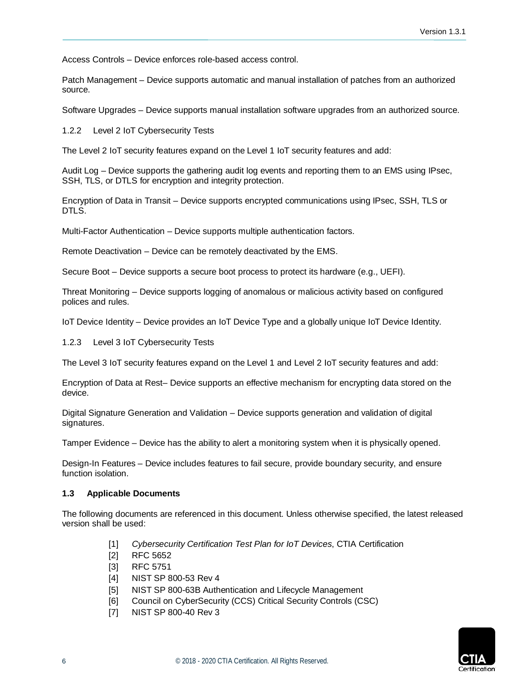Access Controls – Device enforces role-based access control.

Patch Management – Device supports automatic and manual installation of patches from an authorized source.

<span id="page-5-0"></span>Software Upgrades – Device supports manual installation software upgrades from an authorized source.

1.2.2 Level 2 IoT Cybersecurity Tests

The Level 2 IoT security features expand on the Level 1 IoT security features and add:

Audit Log – Device supports the gathering audit log events and reporting them to an EMS using IPsec, SSH, TLS, or DTLS for encryption and integrity protection.

Encryption of Data in Transit – Device supports encrypted communications using IPsec, SSH, TLS or DTLS.

Multi-Factor Authentication – Device supports multiple authentication factors.

Remote Deactivation – Device can be remotely deactivated by the EMS.

Secure Boot – Device supports a secure boot process to protect its hardware (e.g., UEFI).

Threat Monitoring – Device supports logging of anomalous or malicious activity based on configured polices and rules.

<span id="page-5-1"></span>IoT Device Identity – Device provides an IoT Device Type and a globally unique IoT Device Identity.

1.2.3 Level 3 IoT Cybersecurity Tests

The Level 3 IoT security features expand on the Level 1 and Level 2 IoT security features and add:

Encryption of Data at Rest– Device supports an effective mechanism for encrypting data stored on the device.

Digital Signature Generation and Validation – Device supports generation and validation of digital signatures.

Tamper Evidence – Device has the ability to alert a monitoring system when it is physically opened.

Design-In Features – Device includes features to fail secure, provide boundary security, and ensure function isolation.

#### <span id="page-5-2"></span>**1.3 Applicable Documents**

<span id="page-5-4"></span><span id="page-5-3"></span>The following documents are referenced in this document. Unless otherwise specified, the latest released version shall be used:

- [1] *Cybersecurity Certification Test Plan for IoT Devices*, CTIA Certification
- [2] RFC 5652
- <span id="page-5-5"></span>[3] RFC 5751
- <span id="page-5-6"></span>[4] NIST SP 800-53 Rev 4
- <span id="page-5-7"></span>[5] NIST SP 800-63B Authentication and Lifecycle Management
- <span id="page-5-8"></span>[6] Council on CyberSecurity (CCS) Critical Security Controls (CSC)
- <span id="page-5-9"></span>[7] NIST SP 800-40 Rev 3

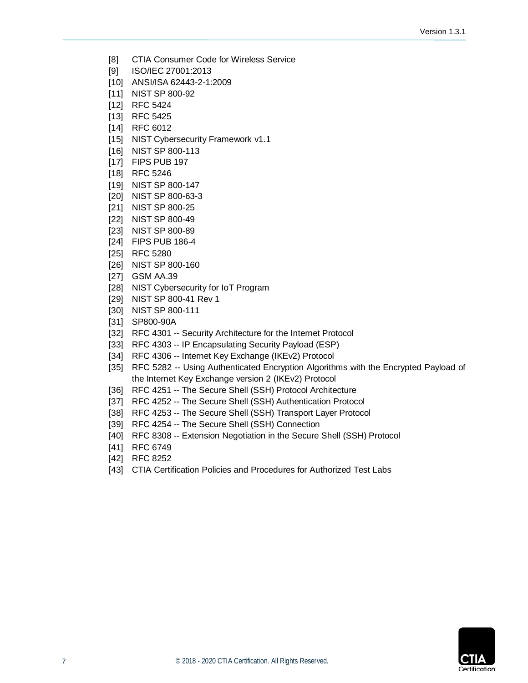- <span id="page-6-1"></span>[8] CTIA Consumer Code for Wireless Service
- <span id="page-6-4"></span>[9] ISO/IEC 27001:2013
- <span id="page-6-5"></span>[10] ANSI/ISA 62443-2-1:2009
- <span id="page-6-6"></span>[11] NIST SP 800-92
- <span id="page-6-7"></span>[12] RFC 5424
- <span id="page-6-8"></span>[13] RFC 5425
- <span id="page-6-9"></span>[14] RFC 6012
- <span id="page-6-10"></span>[15] NIST Cybersecurity Framework v1.1
- <span id="page-6-11"></span>[16] NIST SP 800-113
- <span id="page-6-12"></span>[17] FIPS PUB 197
- <span id="page-6-13"></span>[18] RFC 5246
- <span id="page-6-14"></span>[19] NIST SP 800-147
- <span id="page-6-15"></span>[20] NIST SP 800-63-3
- <span id="page-6-16"></span>[21] NIST SP 800-25
- <span id="page-6-17"></span>[22] NIST SP 800-49
- <span id="page-6-18"></span>[23] NIST SP 800-89
- <span id="page-6-19"></span>[24] FIPS PUB 186-4
- <span id="page-6-20"></span>[25] RFC 5280
- <span id="page-6-21"></span>[26] NIST SP 800-160
- [27] GSM AA.39
- [28] NIST Cybersecurity for IoT Program
- [29] NIST SP 800-41 Rev 1
- [30] NIST SP 800-111
- [31] SP800-90A
- [32] RFC 4301 -- Security Architecture for the Internet Protocol
- [33] RFC 4303 -- IP Encapsulating Security Payload (ESP)
- [34] RFC 4306 -- Internet Key Exchange (IKEv2) Protocol
- [35] RFC 5282 -- Using Authenticated Encryption Algorithms with the Encrypted Payload of the Internet Key Exchange version 2 (IKEv2) Protocol
- [36] RFC 4251 -- The Secure Shell (SSH) Protocol Architecture
- [37] RFC 4252 -- The Secure Shell (SSH) Authentication Protocol
- [38] RFC 4253 -- The Secure Shell (SSH) Transport Layer Protocol
- [39] RFC 4254 -- The Secure Shell (SSH) Connection
- [40] RFC 8308 -- Extension Negotiation in the Secure Shell (SSH) Protocol
- <span id="page-6-2"></span>[41] RFC 6749
- <span id="page-6-3"></span>[42] RFC 8252
- <span id="page-6-0"></span>[43] CTIA Certification Policies and Procedures for Authorized Test Labs

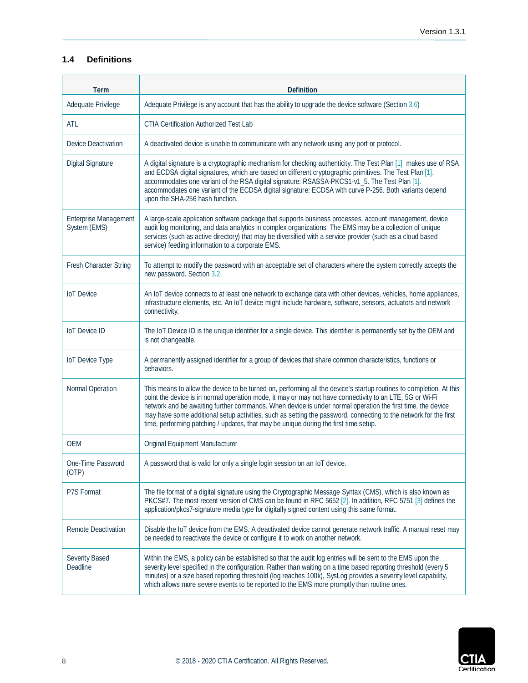## <span id="page-7-0"></span>**1.4 Definitions**

| <b>Term</b>                                  | <b>Definition</b>                                                                                                                                                                                                                                                                                                                                                                                                                                                                                                                                         |
|----------------------------------------------|-----------------------------------------------------------------------------------------------------------------------------------------------------------------------------------------------------------------------------------------------------------------------------------------------------------------------------------------------------------------------------------------------------------------------------------------------------------------------------------------------------------------------------------------------------------|
| Adequate Privilege                           | Adequate Privilege is any account that has the ability to upgrade the device software (Section 3.6)                                                                                                                                                                                                                                                                                                                                                                                                                                                       |
| ATL                                          | <b>CTIA Certification Authorized Test Lab</b>                                                                                                                                                                                                                                                                                                                                                                                                                                                                                                             |
| <b>Device Deactivation</b>                   | A deactivated device is unable to communicate with any network using any port or protocol.                                                                                                                                                                                                                                                                                                                                                                                                                                                                |
| Digital Signature                            | A digital signature is a cryptographic mechanism for checking authenticity. The Test Plan [1] makes use of RSA<br>and ECDSA digital signatures, which are based on different cryptographic primitives. The Test Plan [1].<br>accommodates one variant of the RSA digital signature: RSASSA-PKCS1-v1_5. The Test Plan [1].<br>accommodates one variant of the ECDSA digital signature: ECDSA with curve P-256. Both variants depend<br>upon the SHA-256 hash function.                                                                                     |
| <b>Enterprise Management</b><br>System (EMS) | A large-scale application software package that supports business processes, account management, device<br>audit log monitoring, and data analytics in complex organizations. The EMS may be a collection of unique<br>services (such as active directory) that may be diversified with a service provider (such as a cloud based<br>service) feeding information to a corporate EMS.                                                                                                                                                                     |
| Fresh Character String                       | To attempt to modify the password with an acceptable set of characters where the system correctly accepts the<br>new password. Section 3.2.                                                                                                                                                                                                                                                                                                                                                                                                               |
| <b>IoT</b> Device                            | An IoT device connects to at least one network to exchange data with other devices, vehicles, home appliances,<br>infrastructure elements, etc. An IoT device might include hardware, software, sensors, actuators and network<br>connectivity.                                                                                                                                                                                                                                                                                                           |
| <b>IoT</b> Device ID                         | The IoT Device ID is the unique identifier for a single device. This identifier is permanently set by the OEM and<br>is not changeable.                                                                                                                                                                                                                                                                                                                                                                                                                   |
| <b>IoT</b> Device Type                       | A permanently assigned identifier for a group of devices that share common characteristics, functions or<br>behaviors.                                                                                                                                                                                                                                                                                                                                                                                                                                    |
| Normal Operation                             | This means to allow the device to be turned on, performing all the device's startup routines to completion. At this<br>point the device is in normal operation mode, it may or may not have connectivity to an LTE, 5G or Wi-Fi<br>network and be awaiting further commands. When device is under normal operation the first time, the device<br>may have some additional setup activities, such as setting the password, connecting to the network for the first<br>time, performing patching / updates, that may be unique during the first time setup. |
| OEM                                          | Original Equipment Manufacturer                                                                                                                                                                                                                                                                                                                                                                                                                                                                                                                           |
| One-Time Password<br>(OP)                    | A password that is valid for only a single login session on an IoT device.                                                                                                                                                                                                                                                                                                                                                                                                                                                                                |
| P7S Format                                   | The file format of a digital signature using the Cryptographic Message Syntax (CMS), which is also known as<br>PKCS#7. The most recent version of CMS can be found in RFC 5652 [2]. In addition, RFC 5751 [3] defines the<br>application/pkcs7-signature media type for digitally signed content using this same format.                                                                                                                                                                                                                                  |
| <b>Remote Deactivation</b>                   | Disable the IoT device from the EMS. A deactivated device cannot generate network traffic. A manual reset may<br>be needed to reactivate the device or configure it to work on another network.                                                                                                                                                                                                                                                                                                                                                           |
| Severity Based<br>Deadline                   | Within the EMS, a policy can be established so that the audit log entries will be sent to the EMS upon the<br>severity level specified in the configuration. Rather than waiting on a time based reporting threshold (every 5<br>minutes) or a size based reporting threshold (log reaches 100k), SysLog provides a severity level capability,<br>which allows more severe events to be reported to the EMS more promptly than routine ones.                                                                                                              |

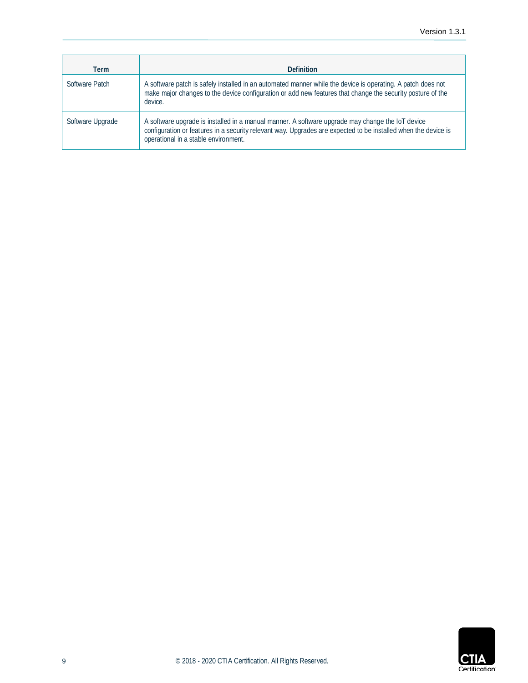| Term             | <b>Definition</b>                                                                                                                                                                                                                                          |
|------------------|------------------------------------------------------------------------------------------------------------------------------------------------------------------------------------------------------------------------------------------------------------|
| Software Patch   | A software patch is safely installed in an automated manner while the device is operating. A patch does not<br>make major changes to the device configuration or add new features that change the security posture of the<br>device.                       |
| Software Upgrade | A software upgrade is installed in a manual manner. A software upgrade may change the IoT device<br>configuration or features in a security relevant way. Upgrades are expected to be installed when the device is<br>operational in a stable environment. |

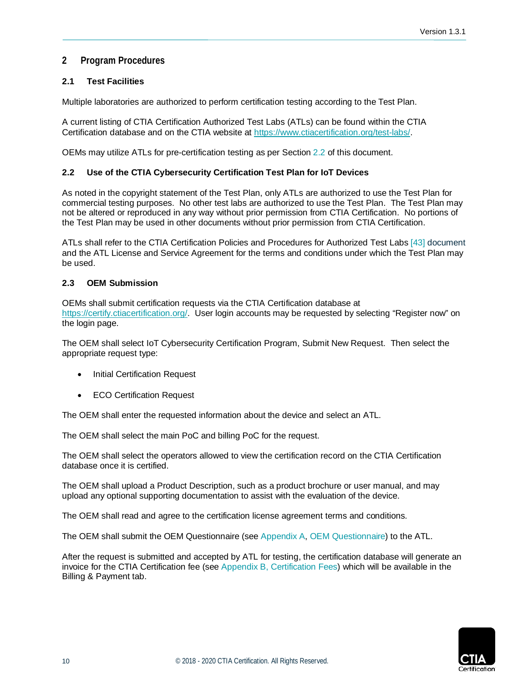## <span id="page-9-0"></span>**2 Program Procedures**

## <span id="page-9-1"></span>**2.1 Test Facilities**

Multiple laboratories are authorized to perform certification testing according to the Test Plan.

A current listing of CTIA Certification Authorized Test Labs (ATLs) can be found within the CTIA Certification database and on the CTIA website at [https://www.ctiacertification.org/test-labs/.](https://www.ctiacertification.org/test-labs/)

<span id="page-9-2"></span>OEMs may utilize ATLs for pre-certification testing as per Section [2.2](#page-9-2) of this document.

## **2.2 Use of the CTIA Cybersecurity Certification Test Plan for IoT Devices**

As noted in the copyright statement of the Test Plan, only ATLs are authorized to use the Test Plan for commercial testing purposes. No other test labs are authorized to use the Test Plan. The Test Plan may not be altered or reproduced in any way without prior permission from CTIA Certification. No portions of the Test Plan may be used in other documents without prior permission from CTIA Certification.

ATLs shall refer to the CTIA Certification Policies and Procedures for Authorized Test Labs [\[43\]](#page-6-0) document and the ATL License and Service Agreement for the terms and conditions under which the Test Plan may be used.

## <span id="page-9-3"></span>**2.3 OEM Submission**

OEMs shall submit certification requests via the CTIA Certification database at [https://certify.ctiacertification.org/.](https://certify.ctiacertification.org/) User login accounts may be requested by selecting "Register now" on the login page.

The OEM shall select IoT Cybersecurity Certification Program, Submit New Request. Then select the appropriate request type:

- Initial Certification Request
- ECO Certification Request

The OEM shall enter the requested information about the device and select an ATL.

The OEM shall select the main PoC and billing PoC for the request.

The OEM shall select the operators allowed to view the certification record on the CTIA Certification database once it is certified.

The OEM shall upload a Product Description, such as a product brochure or user manual, and may upload any optional supporting documentation to assist with the evaluation of the device.

The OEM shall read and agree to the certification license agreement terms and conditions.

The OEM shall submit the OEM Questionnaire (see [Appendix A, OEM Questionnaire\)](#page-27-0) to the ATL.

After the request is submitted and accepted by ATL for testing, the certification database will generate an invoice for the CTIA Certification fee (see [Appendix B, Certification Fees\)](#page-28-0) which will be available in the Billing & Payment tab.

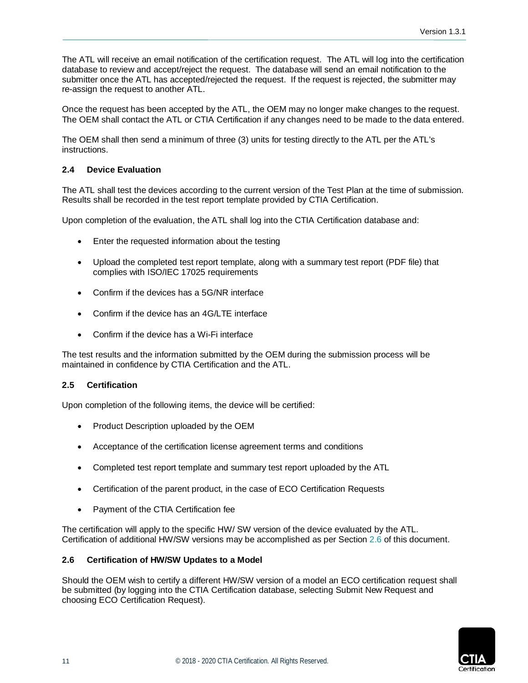The ATL will receive an email notification of the certification request. The ATL will log into the certification database to review and accept/reject the request. The database will send an email notification to the submitter once the ATL has accepted/rejected the request. If the request is rejected, the submitter may re-assign the request to another ATL.

Once the request has been accepted by the ATL, the OEM may no longer make changes to the request. The OEM shall contact the ATL or CTIA Certification if any changes need to be made to the data entered.

The OEM shall then send a minimum of three (3) units for testing directly to the ATL per the ATL's instructions.

## <span id="page-10-0"></span>**2.4 Device Evaluation**

The ATL shall test the devices according to the current version of the Test Plan at the time of submission. Results shall be recorded in the test report template provided by CTIA Certification.

Upon completion of the evaluation, the ATL shall log into the CTIA Certification database and:

- Enter the requested information about the testing
- Upload the completed test report template, along with a summary test report (PDF file) that complies with ISO/IEC 17025 requirements
- Confirm if the devices has a 5G/NR interface
- Confirm if the device has an 4G/LTE interface
- Confirm if the device has a Wi-Fi interface

The test results and the information submitted by the OEM during the submission process will be maintained in confidence by CTIA Certification and the ATL.

## <span id="page-10-1"></span>**2.5 Certification**

Upon completion of the following items, the device will be certified:

- Product Description uploaded by the OEM
- Acceptance of the certification license agreement terms and conditions
- Completed test report template and summary test report uploaded by the ATL
- Certification of the parent product, in the case of ECO Certification Requests
- Payment of the CTIA Certification fee

The certification will apply to the specific HW/ SW version of the device evaluated by the ATL. Certification of additional HW/SW versions may be accomplished as per Section [2.6](#page-10-2) of this document.

#### <span id="page-10-2"></span>**2.6 Certification of HW/SW Updates to a Model**

Should the OEM wish to certify a different HW/SW version of a model an ECO certification request shall be submitted (by logging into the CTIA Certification database, selecting Submit New Request and choosing ECO Certification Request).

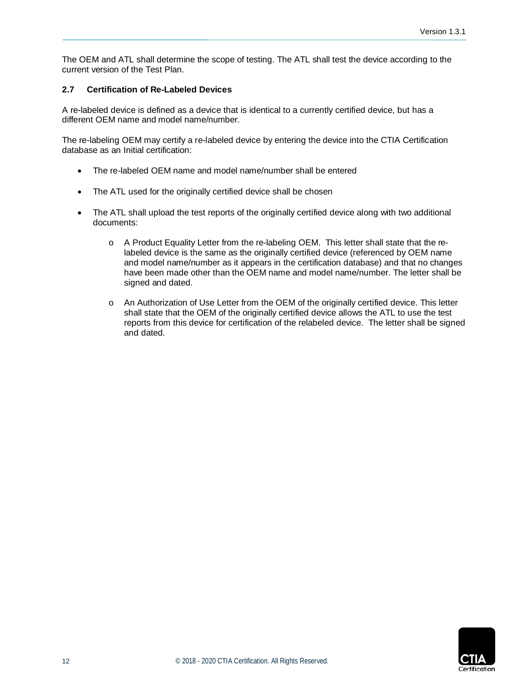The OEM and ATL shall determine the scope of testing. The ATL shall test the device according to the current version of the Test Plan.

## <span id="page-11-0"></span>**2.7 Certification of Re-Labeled Devices**

A re-labeled device is defined as a device that is identical to a currently certified device, but has a different OEM name and model name/number.

The re-labeling OEM may certify a re-labeled device by entering the device into the CTIA Certification database as an Initial certification:

- The re-labeled OEM name and model name/number shall be entered
- The ATL used for the originally certified device shall be chosen
- The ATL shall upload the test reports of the originally certified device along with two additional documents:
	- o A Product Equality Letter from the re-labeling OEM. This letter shall state that the relabeled device is the same as the originally certified device (referenced by OEM name and model name/number as it appears in the certification database) and that no changes have been made other than the OEM name and model name/number. The letter shall be signed and dated.
	- o An Authorization of Use Letter from the OEM of the originally certified device. This letter shall state that the OEM of the originally certified device allows the ATL to use the test reports from this device for certification of the relabeled device. The letter shall be signed and dated.

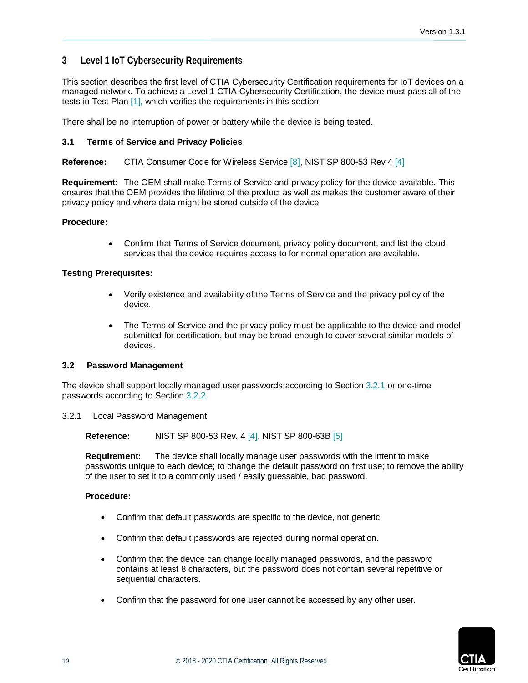## <span id="page-12-0"></span>**3 Level 1 IoT Cybersecurity Requirements**

This section describes the first level of CTIA Cybersecurity Certification requirements for IoT devices on a managed network. To achieve a Level 1 CTIA Cybersecurity Certification, the device must pass all of the tests in Test Plan [\[1\],](#page-5-3) which verifies the requirements in this section.

<span id="page-12-1"></span>There shall be no interruption of power or battery while the device is being tested.

#### **3.1 Terms of Service and Privacy Policies**

**Reference:** CTIA Consumer Code for Wireless Service [\[8\],](#page-6-1) NIST SP 800-53 Rev 4 [\[4\]](#page-5-6)

**Requirement:** The OEM shall make Terms of Service and privacy policy for the device available. This ensures that the OEM provides the lifetime of the product as well as makes the customer aware of their privacy policy and where data might be stored outside of the device.

#### **Procedure:**

• Confirm that Terms of Service document, privacy policy document, and list the cloud services that the device requires access to for normal operation are available.

#### **Testing Prerequisites:**

- Verify existence and availability of the Terms of Service and the privacy policy of the device.
- The Terms of Service and the privacy policy must be applicable to the device and model submitted for certification, but may be broad enough to cover several similar models of devices.

#### <span id="page-12-2"></span>**3.2 Password Management**

The device shall support locally managed user passwords according to Section 3.2.1 or one-time passwords according to Section 3.2.2.

<span id="page-12-3"></span>3.2.1 Local Password Management

**Reference:** NIST SP 800-53 Rev. 4 [\[4\],](#page-5-6) NIST SP 800-63B [\[5\]](#page-5-7)

**Requirement:** The device shall locally manage user passwords with the intent to make passwords unique to each device; to change the default password on first use; to remove the ability of the user to set it to a commonly used / easily guessable, bad password.

#### **Procedure:**

- Confirm that default passwords are specific to the device, not generic.
- Confirm that default passwords are rejected during normal operation.
- Confirm that the device can change locally managed passwords, and the password contains at least 8 characters, but the password does not contain several repetitive or sequential characters.
- Confirm that the password for one user cannot be accessed by any other user.

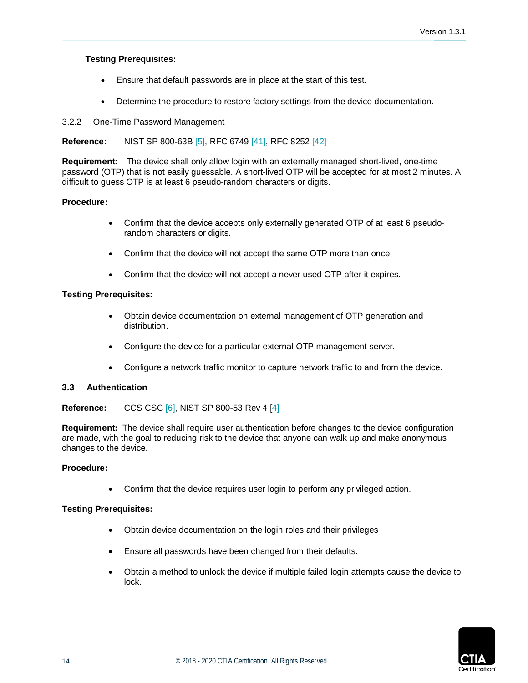## **Testing Prerequisites:**

- Ensure that default passwords are in place at the start of this test**.**
- Determine the procedure to restore factory settings from the device documentation.

## <span id="page-13-0"></span>3.2.2 One-Time Password Management

## **Reference:** NIST SP 800-63B [\[5\],](#page-5-7) RFC 6749 [\[41\],](#page-6-2) RFC 8252 [\[42\]](#page-6-3)

**Requirement:** The device shall only allow login with an externally managed short-lived, one-time password (OTP) that is not easily guessable. A short-lived OTP will be accepted for at most 2 minutes. A difficult to guess OTP is at least 6 pseudo-random characters or digits.

## **Procedure:**

- Confirm that the device accepts only externally generated OTP of at least 6 pseudorandom characters or digits.
- Confirm that the device will not accept the same OTP more than once.
- Confirm that the device will not accept a never-used OTP after it expires.

## **Testing Prerequisites:**

- Obtain device documentation on external management of OTP generation and distribution.
- Configure the device for a particular external OTP management server.
- Configure a network traffic monitor to capture network traffic to and from the device.

#### <span id="page-13-1"></span>**3.3 Authentication**

#### **Reference:** CCS CSC [\[6\],](#page-5-8) NIST SP 800-53 Rev 4 [\[4\]](#page-5-6)

**Requirement:** The device shall require user authentication before changes to the device configuration are made, with the goal to reducing risk to the device that anyone can walk up and make anonymous changes to the device.

#### **Procedure:**

• Confirm that the device requires user login to perform any privileged action.

- Obtain device documentation on the login roles and their privileges
- Ensure all passwords have been changed from their defaults.
- Obtain a method to unlock the device if multiple failed login attempts cause the device to lock.

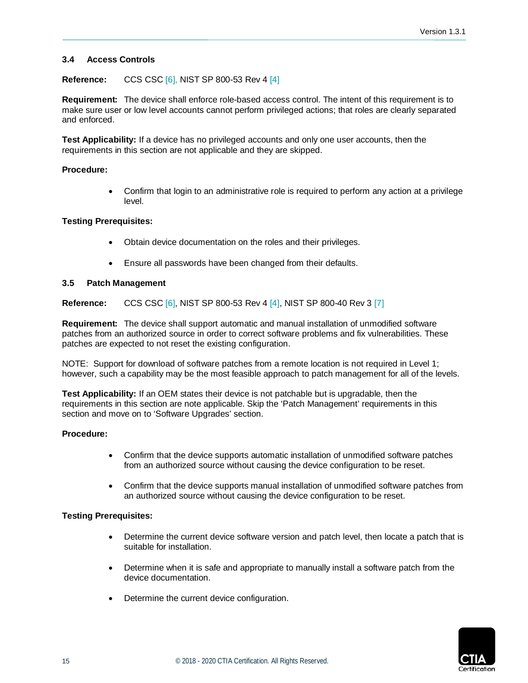## <span id="page-14-0"></span>**3.4 Access Controls**

### **Reference:** CCS CSC [\[6\],](#page-5-8) NIST SP 800-53 Rev 4 [\[4\]](#page-5-6)

**Requirement:** The device shall enforce role-based access control. The intent of this requirement is to make sure user or low level accounts cannot perform privileged actions; that roles are clearly separated and enforced.

**Test Applicability:** If a device has no privileged accounts and only one user accounts, then the requirements in this section are not applicable and they are skipped.

### **Procedure:**

• Confirm that login to an administrative role is required to perform any action at a privilege level.

## **Testing Prerequisites:**

- Obtain device documentation on the roles and their privileges.
- Ensure all passwords have been changed from their defaults.

#### <span id="page-14-1"></span>**3.5 Patch Management**

**Reference:** CCS CSC [\[6\],](#page-5-8) NIST SP 800-53 Rev 4 [\[4\],](#page-5-6) NIST SP 800-40 Rev 3 [\[7\]](#page-5-9)

**Requirement:** The device shall support automatic and manual installation of unmodified software patches from an authorized source in order to correct software problems and fix vulnerabilities. These patches are expected to not reset the existing configuration.

NOTE: Support for download of software patches from a remote location is not required in Level 1; however, such a capability may be the most feasible approach to patch management for all of the levels.

**Test Applicability:** If an OEM states their device is not patchable but is upgradable, then the requirements in this section are note applicable. Skip the 'Patch Management' requirements in this section and move on to 'Software Upgrades' section.

#### **Procedure:**

- Confirm that the device supports automatic installation of unmodified software patches from an authorized source without causing the device configuration to be reset.
- Confirm that the device supports manual installation of unmodified software patches from an authorized source without causing the device configuration to be reset.

- Determine the current device software version and patch level, then locate a patch that is suitable for installation.
- Determine when it is safe and appropriate to manually install a software patch from the device documentation.
- Determine the current device configuration.

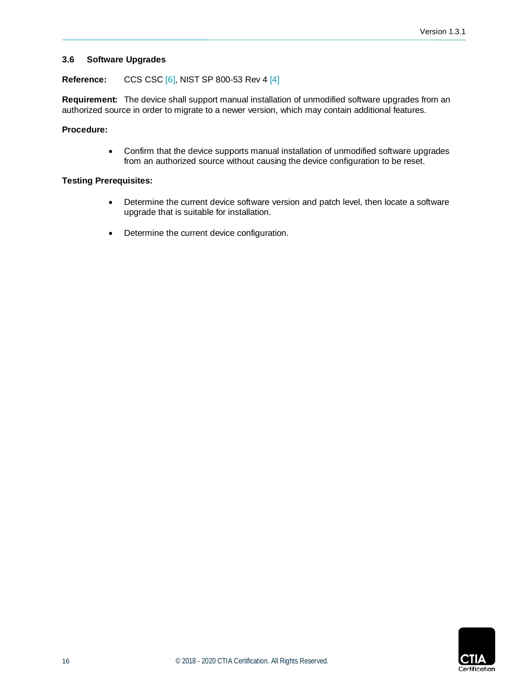## <span id="page-15-0"></span>**3.6 Software Upgrades**

#### **Reference:** CCS CSC [\[6\],](#page-5-8) NIST SP 800-53 Rev 4 [\[4\]](#page-5-6)

**Requirement:** The device shall support manual installation of unmodified software upgrades from an authorized source in order to migrate to a newer version, which may contain additional features.

## **Procedure:**

• Confirm that the device supports manual installation of unmodified software upgrades from an authorized source without causing the device configuration to be reset.

- Determine the current device software version and patch level, then locate a software upgrade that is suitable for installation.
- Determine the current device configuration.

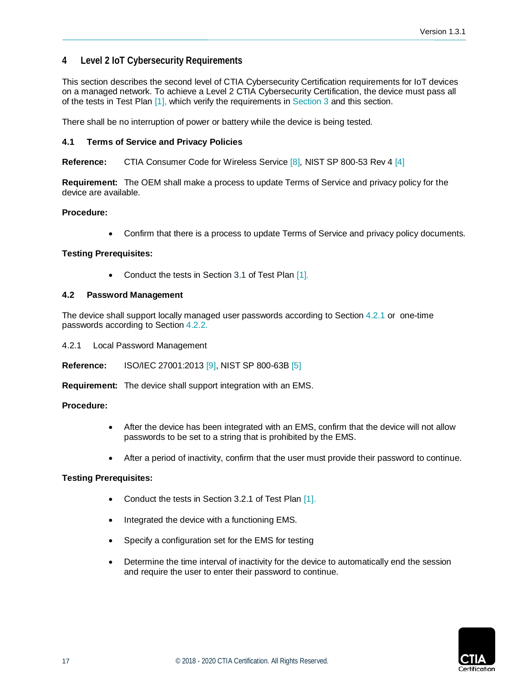## <span id="page-16-0"></span>**4 Level 2 IoT Cybersecurity Requirements**

This section describes the second level of CTIA Cybersecurity Certification requirements for IoT devices on a managed network. To achieve a Level 2 CTIA Cybersecurity Certification, the device must pass all of the tests in Test Plan [\[1\],](#page-5-3) which verify the requirements in [Section 3](#page-12-0) and this section.

<span id="page-16-1"></span>There shall be no interruption of power or battery while the device is being tested.

## **4.1 Terms of Service and Privacy Policies**

**Reference:** CTIA Consumer Code for Wireless Service [\[8\]](#page-6-1)*,* NIST SP 800-53 Rev 4 [\[4\]](#page-5-6)

**Requirement:** The OEM shall make a process to update Terms of Service and privacy policy for the device are available.

## **Procedure:**

• Confirm that there is a process to update Terms of Service and privacy policy documents.

## **Testing Prerequisites:**

Conduct the tests in Section 3.1 of Test Plan [\[1\].](#page-5-3)

## <span id="page-16-2"></span>**4.2 Password Management**

The device shall support locally managed user passwords according to Section [4.2.1](#page-16-3) or one-time passwords according to Section [4.2.2.](#page-17-0)

<span id="page-16-3"></span>4.2.1 Local Password Management

**Reference:** ISO/IEC 27001:2013 [\[9\],](#page-6-4) NIST SP 800-63B [\[5\]](#page-5-7)

**Requirement:** The device shall support integration with an EMS.

#### **Procedure:**

- After the device has been integrated with an EMS, confirm that the device will not allow passwords to be set to a string that is prohibited by the EMS.
- After a period of inactivity, confirm that the user must provide their password to continue.

- Conduct the tests in Section 3.2.1 of Test Plan [\[1\].](#page-5-3)
- Integrated the device with a functioning EMS.
- Specify a configuration set for the EMS for testing
- Determine the time interval of inactivity for the device to automatically end the session and require the user to enter their password to continue.

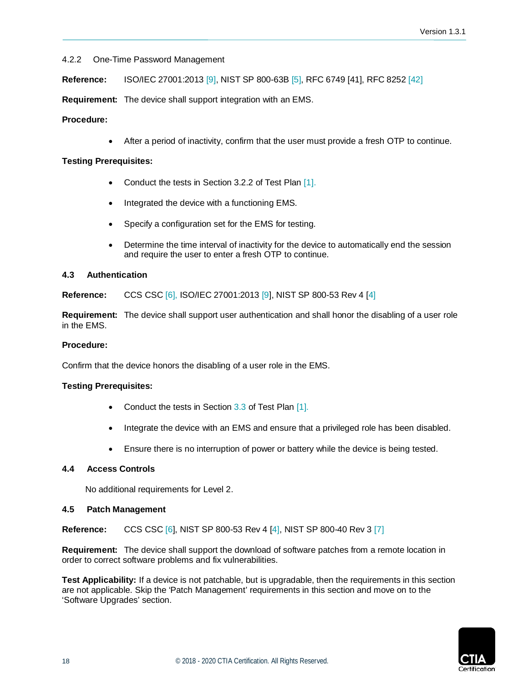## <span id="page-17-0"></span>4.2.2 One-Time Password Management

**Reference:** ISO/IEC 27001:2013 [\[9\],](#page-6-4) NIST SP 800-63B [\[5\],](#page-5-7) RFC 6749 [\[41\],](#page-6-2) RFC 8252 [\[42\]](#page-6-3)

**Requirement:** The device shall support integration with an EMS.

## **Procedure:**

• After a period of inactivity, confirm that the user must provide a fresh OTP to continue.

### **Testing Prerequisites:**

- Conduct the tests in Section 3.2.2 of Test Plan [\[1\].](#page-5-3)
- Integrated the device with a functioning EMS.
- Specify a configuration set for the EMS for testing.
- Determine the time interval of inactivity for the device to automatically end the session and require the user to enter a fresh OTP to continue.

## <span id="page-17-1"></span>**4.3 Authentication**

**Reference:** CCS CSC [\[6\],](#page-5-8) ISO/IEC 27001:2013 [\[9\],](#page-6-4) NIST SP 800-53 Rev 4 [\[4\]](#page-5-6)

**Requirement:** The device shall support user authentication and shall honor the disabling of a user role in the EMS.

#### **Procedure:**

Confirm that the device honors the disabling of a user role in the EMS.

#### **Testing Prerequisites:**

- Conduct the tests in Section 3.3 of Test Plan [\[1\].](#page-5-3)
- Integrate the device with an EMS and ensure that a privileged role has been disabled.
- Ensure there is no interruption of power or battery while the device is being tested.

#### <span id="page-17-2"></span>**4.4 Access Controls**

No additional requirements for Level 2.

#### <span id="page-17-3"></span>**4.5 Patch Management**

**Reference:** CCS CSC [\[6\],](#page-5-8) NIST SP 800-53 Rev 4 [\[4\],](#page-5-6) NIST SP 800-40 Rev 3 [\[7\]](#page-5-9)

**Requirement:** The device shall support the download of software patches from a remote location in order to correct software problems and fix vulnerabilities.

**Test Applicability:** If a device is not patchable, but is upgradable, then the requirements in this section are not applicable. Skip the 'Patch Management' requirements in this section and move on to the 'Software Upgrades' section.

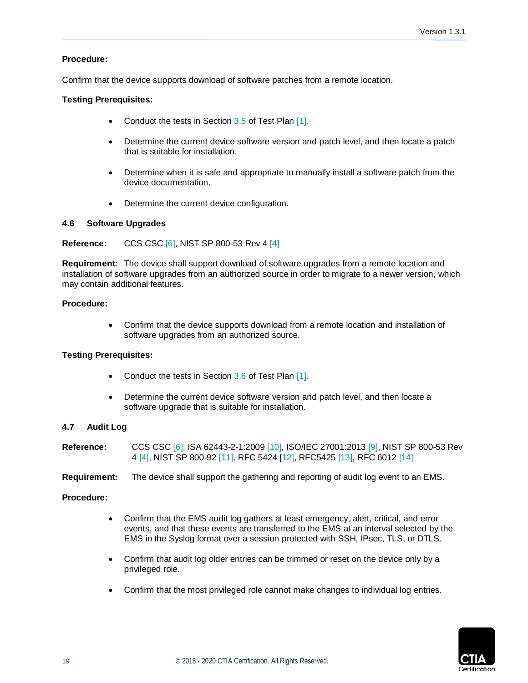## **Procedure:**

Confirm that the device supports download of software patches from a remote location.

## **Testing Prerequisites:**

- Conduct the tests in Section 3.5 of Test Plan [\[1\].](#page-5-3)
- Determine the current device software version and patch level, and then locate a patch that is suitable for installation.
- Determine when it is safe and appropriate to manually install a software patch from the device documentation.
- Determine the current device configuration.

## <span id="page-18-0"></span>**4.6 Software Upgrades**

## **Reference:** CCS CSC [\[6\],](#page-5-8) NIST SP 800-53 Rev 4 [\[4\]](#page-5-6)

**Requirement:** The device shall support download of software upgrades from a remote location and installation of software upgrades from an authorized source in order to migrate to a newer version, which may contain additional features.

## **Procedure:**

• Confirm that the device supports download from a remote location and installation of software upgrades from an authorized source.

## **Testing Prerequisites:**

- Conduct the tests in Section 3.6 of Test Plan [\[1\].](#page-5-3)
- Determine the current device software version and patch level, and then locate a software upgrade that is suitable for installation.

## <span id="page-18-1"></span>**4.7 Audit Log**

| <b>Reference:</b> | CCS CSC [6], ISA 62443-2-1:2009 [10], ISO/IEC 27001:2013 [9], NIST SP 800-53 Rev |
|-------------------|----------------------------------------------------------------------------------|
|                   | 4 [4], NIST SP 800-92 [11], RFC 5424 [12], RFC5425 [13], RFC 6012 [14]           |

**Requirement:** The device shall support the gathering and reporting of audit log event to an EMS.

## **Procedure:**

- Confirm that the EMS audit log gathers at least emergency, alert, critical, and error events, and that these events are transferred to the EMS at an interval selected by the EMS in the Syslog format over a session protected with SSH, IPsec, TLS, or DTLS.
- Confirm that audit log older entries can be trimmed or reset on the device only by a privileged role.
- Confirm that the most privileged role cannot make changes to individual log entries.

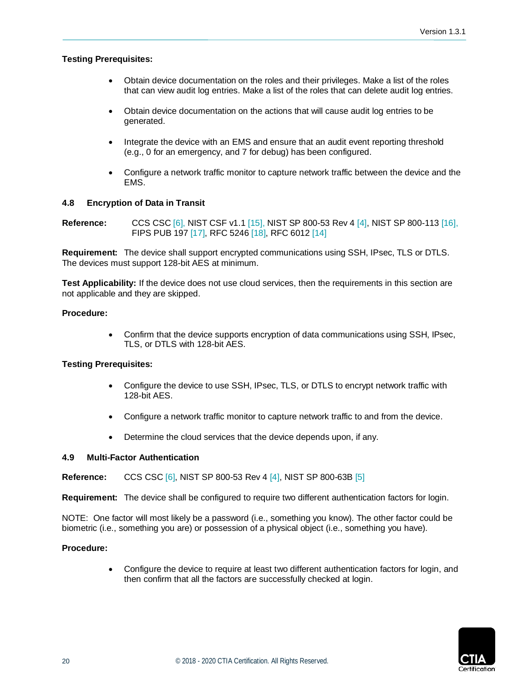## **Testing Prerequisites:**

- Obtain device documentation on the roles and their privileges. Make a list of the roles that can view audit log entries. Make a list of the roles that can delete audit log entries.
- Obtain device documentation on the actions that will cause audit log entries to be generated.
- Integrate the device with an EMS and ensure that an audit event reporting threshold (e.g., 0 for an emergency, and 7 for debug) has been configured.
- Configure a network traffic monitor to capture network traffic between the device and the EMS.

#### <span id="page-19-0"></span>**4.8 Encryption of Data in Transit**

**Reference:** CCS CSC [\[6\],](#page-5-8) NIST CSF v1.1 [\[15\],](#page-6-10) NIST SP 800-53 Rev 4 [\[4\],](#page-5-6) NIST SP 800-113 [\[16\],](#page-6-11) FIPS PUB 197 [\[17\],](#page-6-12) RFC 5246 [\[18\],](#page-6-13) RFC 6012 [\[14\]](#page-6-9)

**Requirement:** The device shall support encrypted communications using SSH, IPsec, TLS or DTLS. The devices must support 128-bit AES at minimum.

**Test Applicability:** If the device does not use cloud services, then the requirements in this section are not applicable and they are skipped.

#### **Procedure:**

• Confirm that the device supports encryption of data communications using SSH, IPsec, TLS, or DTLS with 128-bit AES.

#### **Testing Prerequisites:**

- Configure the device to use SSH, IPsec, TLS, or DTLS to encrypt network traffic with 128-bit AES.
- Configure a network traffic monitor to capture network traffic to and from the device.
- Determine the cloud services that the device depends upon, if any.

#### <span id="page-19-1"></span>**4.9 Multi-Factor Authentication**

**Reference:** CCS CSC [\[6\],](#page-5-8) NIST SP 800-53 Rev 4 [\[4\],](#page-5-6) NIST SP 800-63B [\[5\]](#page-5-7)

**Requirement:** The device shall be configured to require two different authentication factors for login.

NOTE: One factor will most likely be a password (i.e., something you know). The other factor could be biometric (i.e., something you are) or possession of a physical object (i.e., something you have).

#### **Procedure:**

• Configure the device to require at least two different authentication factors for login, and then confirm that all the factors are successfully checked at login.

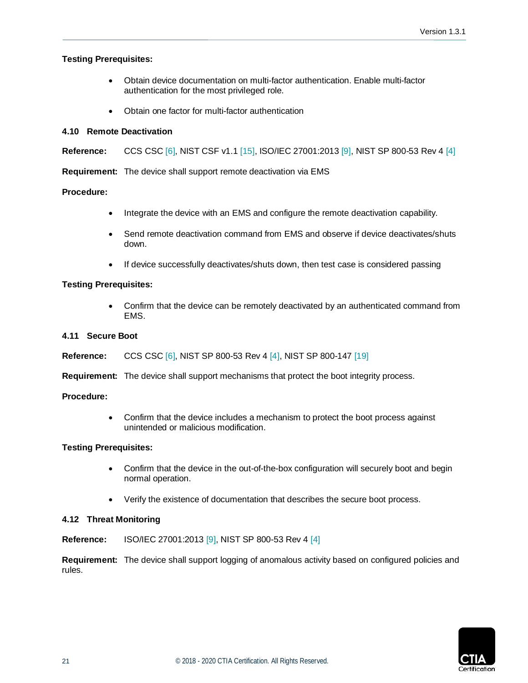## **Testing Prerequisites:**

- Obtain device documentation on multi-factor authentication. Enable multi-factor authentication for the most privileged role.
- Obtain one factor for multi-factor authentication

### <span id="page-20-0"></span>**4.10 Remote Deactivation**

**Reference:** CCS CSC [\[6\],](#page-5-8) NIST CSF v1.1 [\[15\],](#page-6-10) ISO/IEC 27001:2013 [\[9\],](#page-6-4) NIST SP 800-53 Rev 4 [\[4\]](#page-5-6)

**Requirement:** The device shall support remote deactivation via EMS

## **Procedure:**

- Integrate the device with an EMS and configure the remote deactivation capability.
- Send remote deactivation command from EMS and observe if device deactivates/shuts down.
- If device successfully deactivates/shuts down, then test case is considered passing

## **Testing Prerequisites:**

• Confirm that the device can be remotely deactivated by an authenticated command from EMS.

#### <span id="page-20-1"></span>**4.11 Secure Boot**

**Reference:** CCS CSC [\[6\],](#page-5-8) NIST SP 800-53 Rev 4 [\[4\],](#page-5-6) NIST SP 800-147 [\[19\]](#page-6-14)

**Requirement:** The device shall support mechanisms that protect the boot integrity process.

#### **Procedure:**

• Confirm that the device includes a mechanism to protect the boot process against unintended or malicious modification.

#### **Testing Prerequisites:**

- Confirm that the device in the out-of-the-box configuration will securely boot and begin normal operation.
- Verify the existence of documentation that describes the secure boot process.

#### <span id="page-20-2"></span>**4.12 Threat Monitoring**

**Reference:** ISO/IEC 27001:2013 [\[9\],](#page-6-4) NIST SP 800-53 Rev 4 [\[4\]](#page-5-6)

**Requirement:** The device shall support logging of anomalous activity based on configured policies and rules.

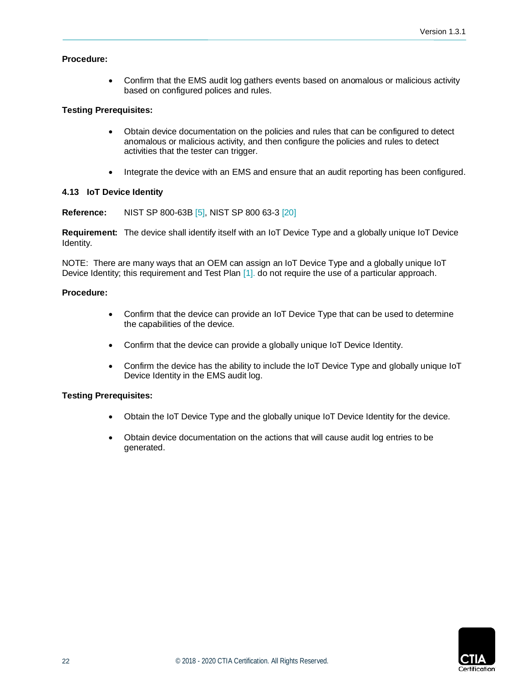## **Procedure:**

• Confirm that the EMS audit log gathers events based on anomalous or malicious activity based on configured polices and rules.

### **Testing Prerequisites:**

- Obtain device documentation on the policies and rules that can be configured to detect anomalous or malicious activity, and then configure the policies and rules to detect activities that the tester can trigger.
- Integrate the device with an EMS and ensure that an audit reporting has been configured.

#### <span id="page-21-0"></span>**4.13 IoT Device Identity**

**Reference:** NIST SP 800-63B [\[5\],](#page-5-7) NIST SP 800 63-3 [\[20\]](#page-6-15)

**Requirement:** The device shall identify itself with an IoT Device Type and a globally unique IoT Device Identity.

NOTE: There are many ways that an OEM can assign an IoT Device Type and a globally unique IoT Device Identity; this requirement and Test Plan [\[1\].](#page-5-3) do not require the use of a particular approach.

#### **Procedure:**

- Confirm that the device can provide an IoT Device Type that can be used to determine the capabilities of the device.
- Confirm that the device can provide a globally unique IoT Device Identity.
- Confirm the device has the ability to include the IoT Device Type and globally unique IoT Device Identity in the EMS audit log.

- Obtain the IoT Device Type and the globally unique IoT Device Identity for the device.
- Obtain device documentation on the actions that will cause audit log entries to be generated.

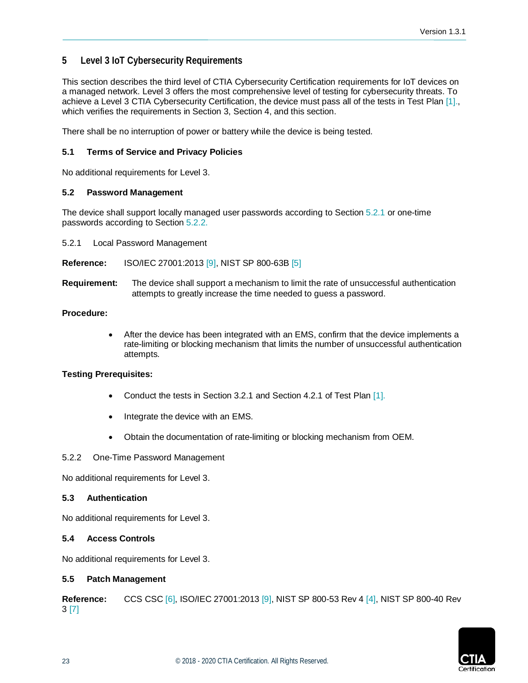## <span id="page-22-0"></span>**5 Level 3 IoT Cybersecurity Requirements**

This section describes the third level of CTIA Cybersecurity Certification requirements for IoT devices on a managed network. Level 3 offers the most comprehensive level of testing for cybersecurity threats. To achieve a Level 3 CTIA Cybersecurity Certification, the device must pass all of the tests in Test Plan [\[1\].](#page-5-3), which verifies the requirements in Section 3, Section 4, and this section.

<span id="page-22-1"></span>There shall be no interruption of power or battery while the device is being tested.

## **5.1 Terms of Service and Privacy Policies**

<span id="page-22-2"></span>No additional requirements for Level 3.

## **5.2 Password Management**

The device shall support locally managed user passwords according to Section [5.2.1](#page-22-3) or one-time passwords according to Section [5.2.2.](#page-22-4)

<span id="page-22-3"></span>5.2.1 Local Password Management

**Reference:** ISO/IEC 27001:2013 [\[9\],](#page-6-4) NIST SP 800-63B [\[5\]](#page-5-7)

**Requirement:** The device shall support a mechanism to limit the rate of unsuccessful authentication attempts to greatly increase the time needed to guess a password.

## **Procedure:**

• After the device has been integrated with an EMS, confirm that the device implements a rate-limiting or blocking mechanism that limits the number of unsuccessful authentication attempts.

#### **Testing Prerequisites:**

- Conduct the tests in Section 3.2.1 and Section 4.2.1 of Test Plan [\[1\].](#page-5-3)
- Integrate the device with an EMS.
- Obtain the documentation of rate-limiting or blocking mechanism from OEM.

#### <span id="page-22-4"></span>5.2.2 One-Time Password Management

<span id="page-22-5"></span>No additional requirements for Level 3.

#### **5.3 Authentication**

<span id="page-22-6"></span>No additional requirements for Level 3.

## **5.4 Access Controls**

<span id="page-22-7"></span>No additional requirements for Level 3.

## **5.5 Patch Management**

**Reference:** CCS CSC [\[6\],](#page-5-8) ISO/IEC 27001:2013 [\[9\],](#page-6-4) NIST SP 800-53 Rev 4 [\[4\],](#page-5-6) NIST SP 800-40 Rev 3 [\[7\]](#page-5-9)

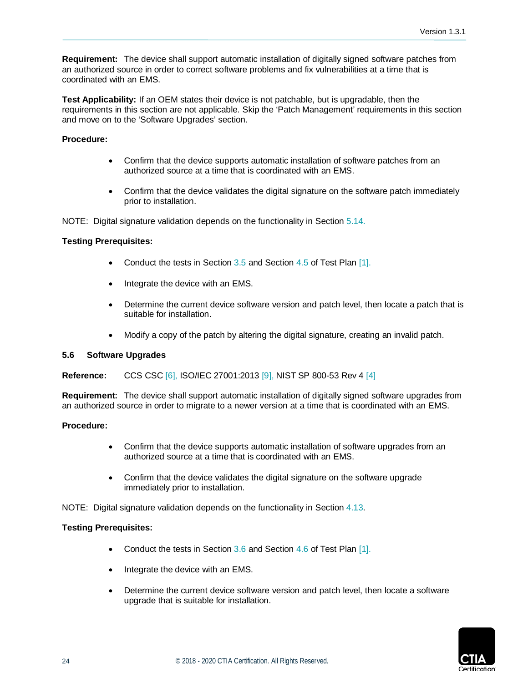**Requirement:** The device shall support automatic installation of digitally signed software patches from an authorized source in order to correct software problems and fix vulnerabilities at a time that is coordinated with an EMS.

**Test Applicability:** If an OEM states their device is not patchable, but is upgradable, then the requirements in this section are not applicable. Skip the 'Patch Management' requirements in this section and move on to the 'Software Upgrades' section.

## **Procedure:**

- Confirm that the device supports automatic installation of software patches from an authorized source at a time that is coordinated with an EMS.
- Confirm that the device validates the digital signature on the software patch immediately prior to installation.

NOTE: Digital signature validation depends on the functionality in Sectio[n 5.14.](#page-24-7)

## **Testing Prerequisites:**

- Conduct the tests in Section  $3.5$  and Section  $4.5$  of Test Plan  $[1]$ .
- Integrate the device with an EMS.
- Determine the current device software version and patch level, then locate a patch that is suitable for installation.
- Modify a copy of the patch by altering the digital signature, creating an invalid patch.

#### <span id="page-23-0"></span>**5.6 Software Upgrades**

**Reference:** CCS CSC [\[6\],](#page-5-8) ISO/IEC 27001:2013 [\[9\],](#page-6-4) NIST SP 800-53 Rev 4 [\[4\]](#page-5-6)

**Requirement:** The device shall support automatic installation of digitally signed software upgrades from an authorized source in order to migrate to a newer version at a time that is coordinated with an EMS.

#### **Procedure:**

- Confirm that the device supports automatic installation of software upgrades from an authorized source at a time that is coordinated with an EMS.
- Confirm that the device validates the digital signature on the software upgrade immediately prior to installation.

NOTE: Digital signature validation depends on the functionality in Section 4.13.

- Conduct the tests in Section 3.6 and Section 4.6 of Test Plan [\[1\].](#page-5-3)
- Integrate the device with an EMS.
- Determine the current device software version and patch level, then locate a software upgrade that is suitable for installation.

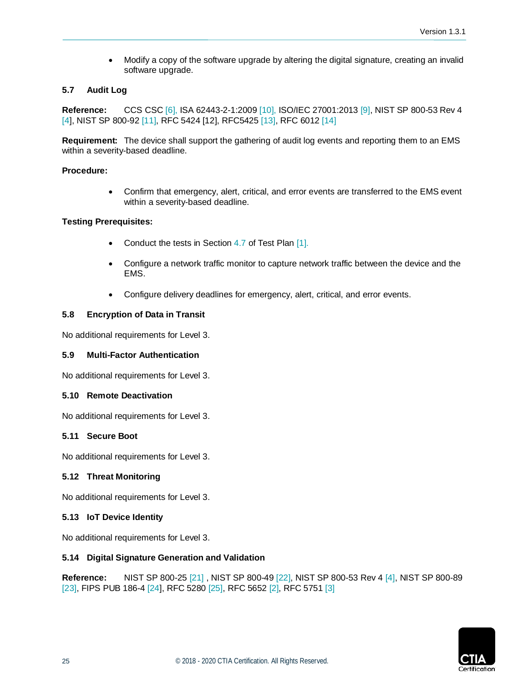• Modify a copy of the software upgrade by altering the digital signature, creating an invalid software upgrade.

## <span id="page-24-0"></span>**5.7 Audit Log**

**Reference:** CCS CSC [\[6\],](#page-5-8) ISA 62443-2-1:200[9 \[10\],](#page-6-5) ISO/IEC 27001:2013 [\[9\],](#page-6-4) NIST SP 800-53 Rev 4 [\[4\],](#page-5-6) NIST SP 800-92 [\[11\],](#page-6-6) RFC 5424 [\[12\],](#page-6-7) RFC542[5 \[13\],](#page-6-8) RFC 6012 [\[14\]](#page-6-9)

**Requirement:** The device shall support the gathering of audit log events and reporting them to an EMS within a severity-based deadline.

### **Procedure:**

• Confirm that emergency, alert, critical, and error events are transferred to the EMS event within a severity-based deadline.

#### **Testing Prerequisites:**

- Conduct the tests in Section 4.7 of Test Plan [\[1\].](#page-5-3)
- Configure a network traffic monitor to capture network traffic between the device and the EMS.
- Configure delivery deadlines for emergency, alert, critical, and error events.

## <span id="page-24-1"></span>**5.8 Encryption of Data in Transit**

<span id="page-24-2"></span>No additional requirements for Level 3.

#### **5.9 Multi-Factor Authentication**

<span id="page-24-3"></span>No additional requirements for Level 3.

#### **5.10 Remote Deactivation**

<span id="page-24-4"></span>No additional requirements for Level 3.

## **5.11 Secure Boot**

<span id="page-24-5"></span>No additional requirements for Level 3.

#### **5.12 Threat Monitoring**

<span id="page-24-6"></span>No additional requirements for Level 3.

#### **5.13 IoT Device Identity**

<span id="page-24-7"></span>No additional requirements for Level 3.

#### **5.14 Digital Signature Generation and Validation**

**Reference:** NIST SP 800-25 [\[21\]](#page-6-16) , NIST SP 800-49 [\[22\],](#page-6-17) NIST SP 800-53 Rev 4 [\[4\],](#page-5-6) NIST SP 800-89 [\[23\],](#page-6-18) FIPS PUB 186-4 [\[24\],](#page-6-19) RFC 5280 [\[25\],](#page-6-20) RFC 5652 [\[2\],](#page-5-4) RFC 5751 [\[3\]](#page-5-5)

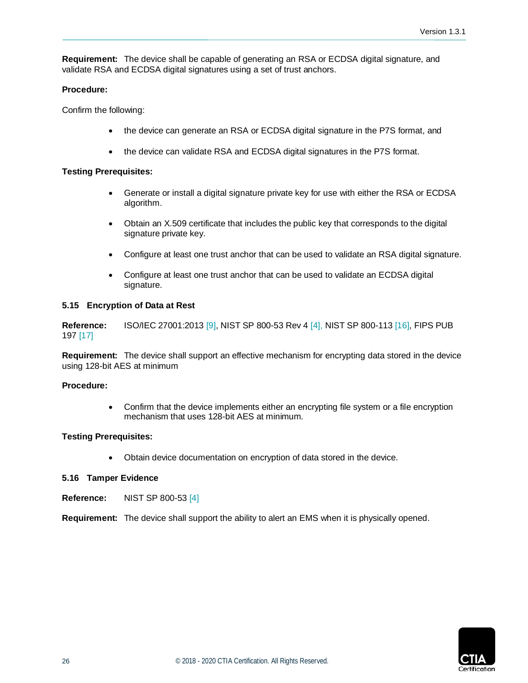**Requirement:** The device shall be capable of generating an RSA or ECDSA digital signature, and validate RSA and ECDSA digital signatures using a set of trust anchors.

#### **Procedure:**

Confirm the following:

- the device can generate an RSA or ECDSA digital signature in the P7S format, and
- the device can validate RSA and ECDSA digital signatures in the P7S format.

#### **Testing Prerequisites:**

- Generate or install a digital signature private key for use with either the RSA or ECDSA algorithm.
- Obtain an X.509 certificate that includes the public key that corresponds to the digital signature private key.
- Configure at least one trust anchor that can be used to validate an RSA digital signature.
- Configure at least one trust anchor that can be used to validate an ECDSA digital signature.

#### <span id="page-25-0"></span>**5.15 Encryption of Data at Rest**

**Reference:** ISO/IEC 27001:2013 [\[9\],](#page-6-4) NIST SP 800-53 Rev 4 [\[4\],](#page-5-6) NIST SP 800-113 [\[16\],](#page-6-11) FIPS PUB 197 [\[17\]](#page-6-12)

**Requirement:** The device shall support an effective mechanism for encrypting data stored in the device using 128-bit AES at minimum

#### **Procedure:**

• Confirm that the device implements either an encrypting file system or a file encryption mechanism that uses 128-bit AES at minimum.

#### **Testing Prerequisites:**

• Obtain device documentation on encryption of data stored in the device.

#### <span id="page-25-1"></span>**5.16 Tamper Evidence**

**Reference:** NIST SP 800-53 [\[4\]](#page-5-6)

**Requirement:** The device shall support the ability to alert an EMS when it is physically opened.

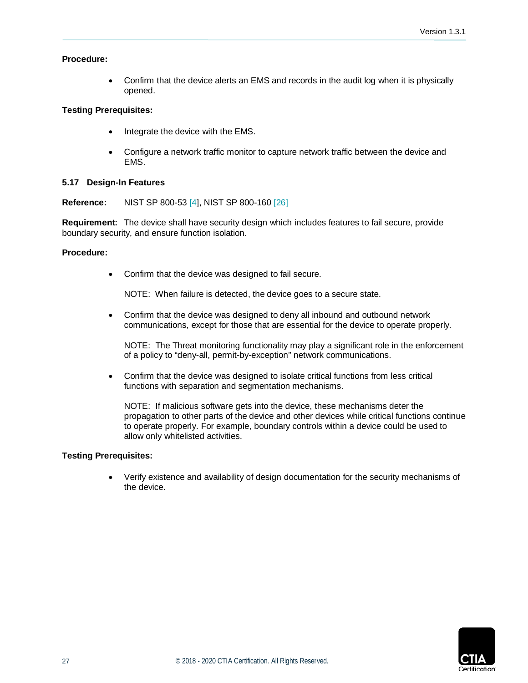### **Procedure:**

• Confirm that the device alerts an EMS and records in the audit log when it is physically opened.

## **Testing Prerequisites:**

- Integrate the device with the EMS.
- Configure a network traffic monitor to capture network traffic between the device and EMS.

## <span id="page-26-0"></span>**5.17 Design-In Features**

**Reference:** NIST SP 800-53 [\[4\],](#page-5-6) NIST SP 800-160 [\[26\]](#page-6-21)

**Requirement:** The device shall have security design which includes features to fail secure, provide boundary security, and ensure function isolation.

#### **Procedure:**

• Confirm that the device was designed to fail secure.

NOTE: When failure is detected, the device goes to a secure state.

• Confirm that the device was designed to deny all inbound and outbound network communications, except for those that are essential for the device to operate properly.

NOTE: The Threat monitoring functionality may play a significant role in the enforcement of a policy to "deny-all, permit-by-exception" network communications.

• Confirm that the device was designed to isolate critical functions from less critical functions with separation and segmentation mechanisms.

NOTE: If malicious software gets into the device, these mechanisms deter the propagation to other parts of the device and other devices while critical functions continue to operate properly. For example, boundary controls within a device could be used to allow only whitelisted activities.

#### **Testing Prerequisites:**

• Verify existence and availability of design documentation for the security mechanisms of the device.

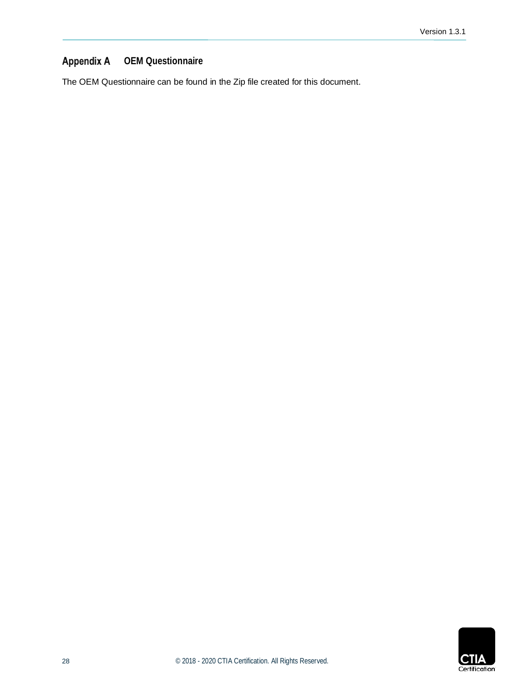#### <span id="page-27-0"></span>**Appendix A OEM Questionnaire**

The OEM Questionnaire can be found in the Zip file created for this document.

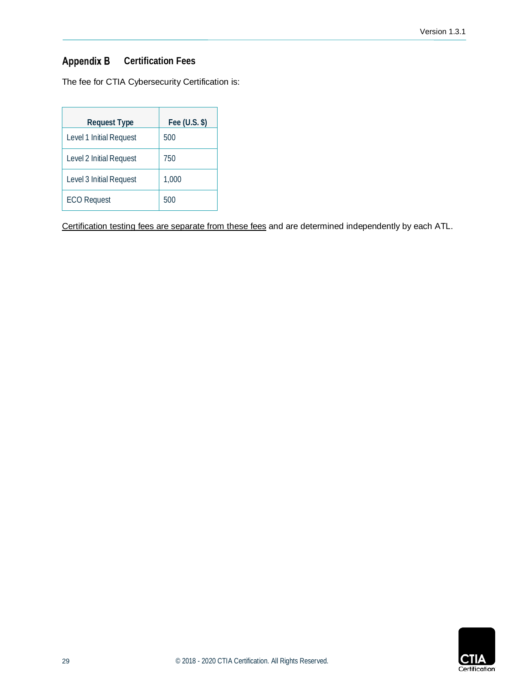## Version 1.3.1

#### <span id="page-28-0"></span>**Appendix B Certification Fees**

The fee for CTIA Cybersecurity Certification is:

| <b>Request Type</b>     | Fee $(U.S.$ \$) |
|-------------------------|-----------------|
| Level 1 Initial Request | 500             |
| Level 2 Initial Request | 750             |
| Level 3 Initial Request | 1,000           |
| <b>ECO Request</b>      | 500             |

Certification testing fees are separate from these fees and are determined independently by each ATL.